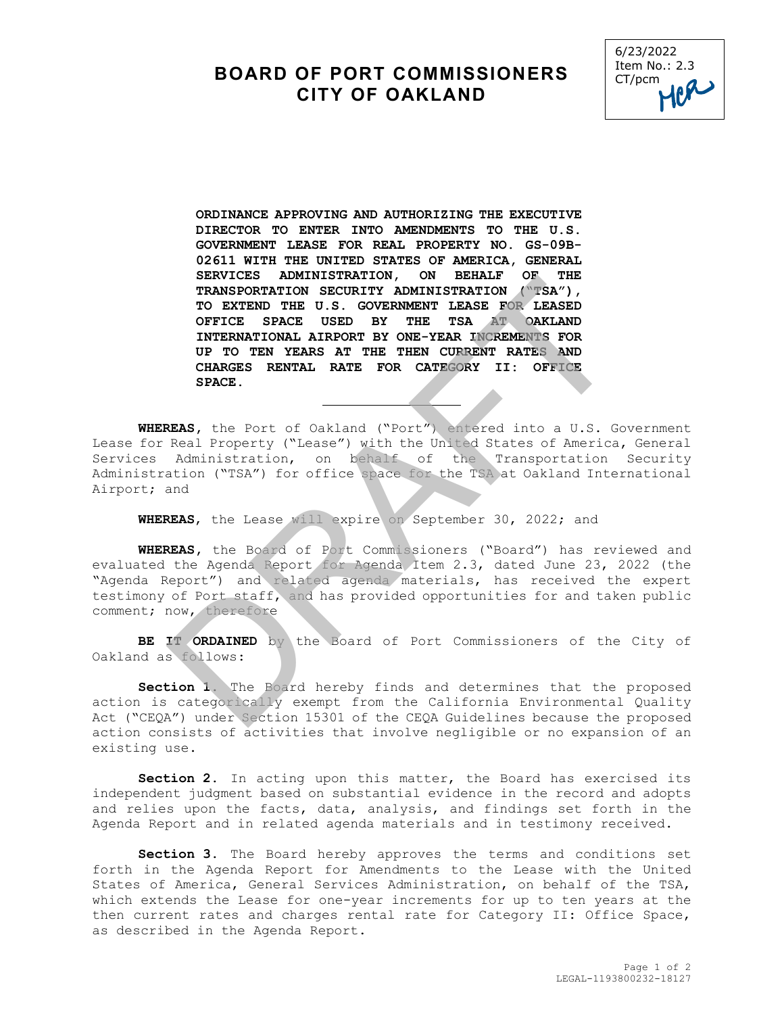## **BOARD OF PORT COMMISSIONERS CITY OF OAKLAND**



**ORDINANCE APPROVING AND AUTHORIZING THE EXECUTIVE DIRECTOR TO ENTER INTO AMENDMENTS TO THE U.S. GOVERNMENT LEASE FOR REAL PROPERTY NO. GS-09B-02611 WITH THE UNITED STATES OF AMERICA, GENERAL SERVICES ADMINISTRATION, ON BEHALF OF THE TRANSPORTATION SECURITY ADMINISTRATION ("TSA"), TO EXTEND THE U.S. GOVERNMENT LEASE FOR LEASED OFFICE SPACE USED BY THE TSA AT OAKLAND INTERNATIONAL AIRPORT BY ONE-YEAR INCREMENTS FOR UP TO TEN YEARS AT THE THEN CURRENT RATES AND CHARGES RENTAL RATE FOR CATEGORY II: OFFICE SPACE.**  SEANLES ADMINISTRATION, ON BEARLY UP THE TO EXTEND TIPS TRANSPORTATION SECURITY ADMINISTRATION (WESA"), TO EXTEND OFFICE SPACE USED DYTER AND INTERNATIONAL AIRPORT BY ONE-YEAR INCREMENTS FOR UP TO TEN YEARS AT THE THE THEN

**WHEREAS,** the Port of Oakland ("Port") entered into a U.S. Government Lease for Real Property ("Lease") with the United States of America, General<br>Services Administration, on behalf of the Transportation Security References Administration, on behalf of the Transportation Security Administration ("TSA") for office space for the TSA at Oakland International Airport; and

**WHEREAS**, the Lease will expire on September 30, 2022; and

**WHEREAS,** the Board of Port Commissioners ("Board") has reviewed and evaluated the Agenda Report for Agenda Item 2.3, dated June 23, 2022 (the "Agenda Report") and related agenda materials, has received the expert testimony of Port staff, and has provided opportunities for and taken public comment; now, therefore

**BE IT ORDAINED** by the Board of Port Commissioners of the City of Oakland as follows:

**Section 1.** The Board hereby finds and determines that the proposed action is categorically exempt from the California Environmental Quality Act ("CEQA") under Section 15301 of the CEQA Guidelines because the proposed action consists of activities that involve negligible or no expansion of an existing use.

**Section 2.** In acting upon this matter, the Board has exercised its independent judgment based on substantial evidence in the record and adopts and relies upon the facts, data, analysis, and findings set forth in the Agenda Report and in related agenda materials and in testimony received.

**Section 3.** The Board hereby approves the terms and conditions set forth in the Agenda Report for Amendments to the Lease with the United States of America, General Services Administration, on behalf of the TSA, which extends the Lease for one-year increments for up to ten years at the then current rates and charges rental rate for Category II: Office Space, as described in the Agenda Report.